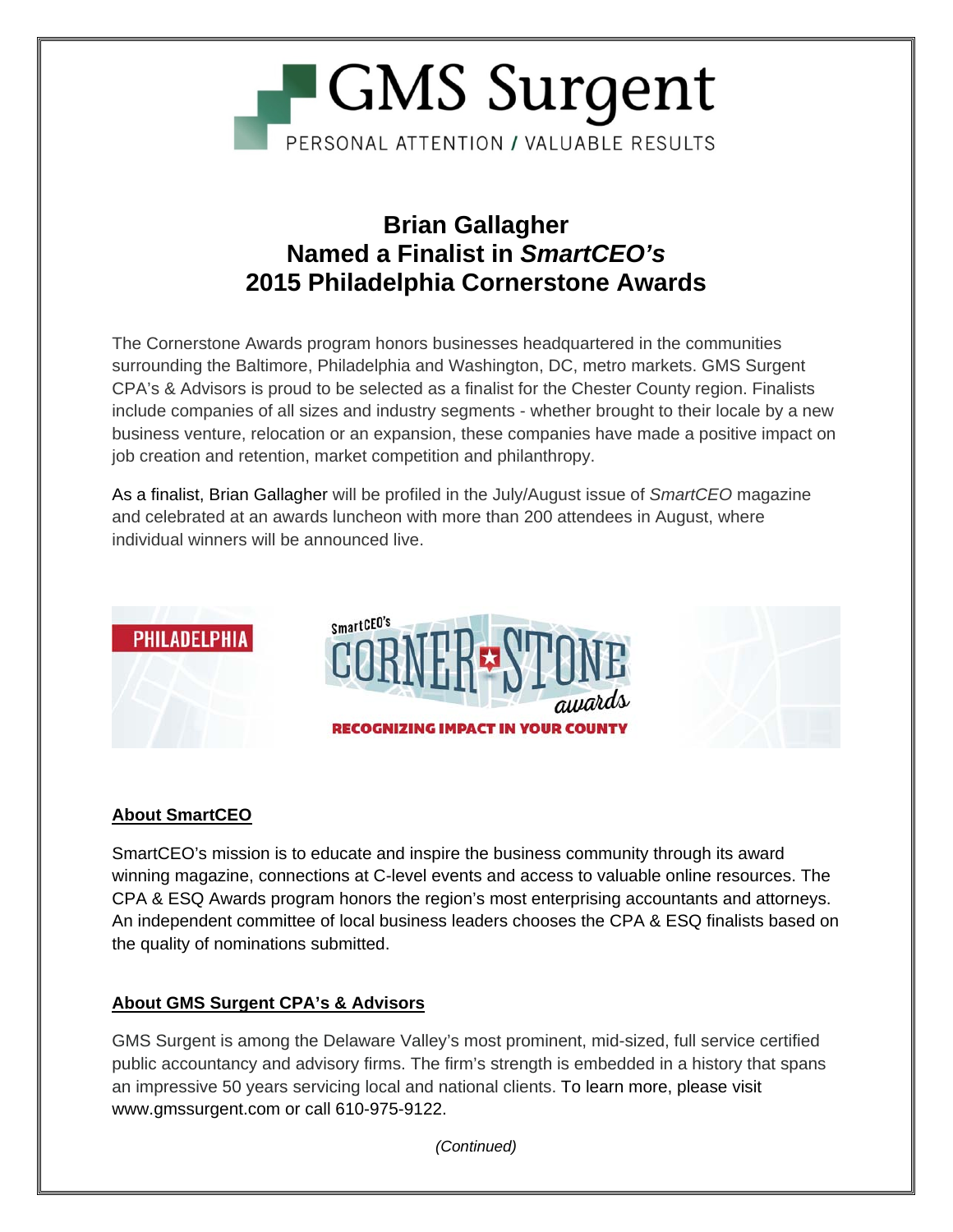

### **Brian Gallagher Named a Finalist in** *SmartCEO's*  **2015 Philadelphia Cornerstone Awards**

The Cornerstone Awards program honors businesses headquartered in the communities surrounding the Baltimore, Philadelphia and Washington, DC, metro markets. GMS Surgent CPA's & Advisors is proud to be selected as a finalist for the Chester County region. Finalists include companies of all sizes and industry segments - whether brought to their locale by a new business venture, relocation or an expansion, these companies have made a positive impact on job creation and retention, market competition and philanthropy.

As a finalist, Brian Gallagher will be profiled in the July/August issue of *SmartCEO* magazine and celebrated at an awards luncheon with more than 200 attendees in August, where individual winners will be announced live.



#### **About SmartCEO**

SmartCEO's mission is to educate and inspire the business community through its award winning magazine, connections at C-level events and access to valuable online resources. The CPA & ESQ Awards program honors the region's most enterprising accountants and attorneys. An independent committee of local business leaders chooses the CPA & ESQ finalists based on the quality of nominations submitted.

#### **About GMS Surgent CPA's & Advisors**

GMS Surgent is among the Delaware Valley's most prominent, mid-sized, full service certified public accountancy and advisory firms. The firm's strength is embedded in a history that spans an impressive 50 years servicing local and national clients. To learn more, please visit www.gmssurgent.com or call 610-975-9122.

*(Continued)*